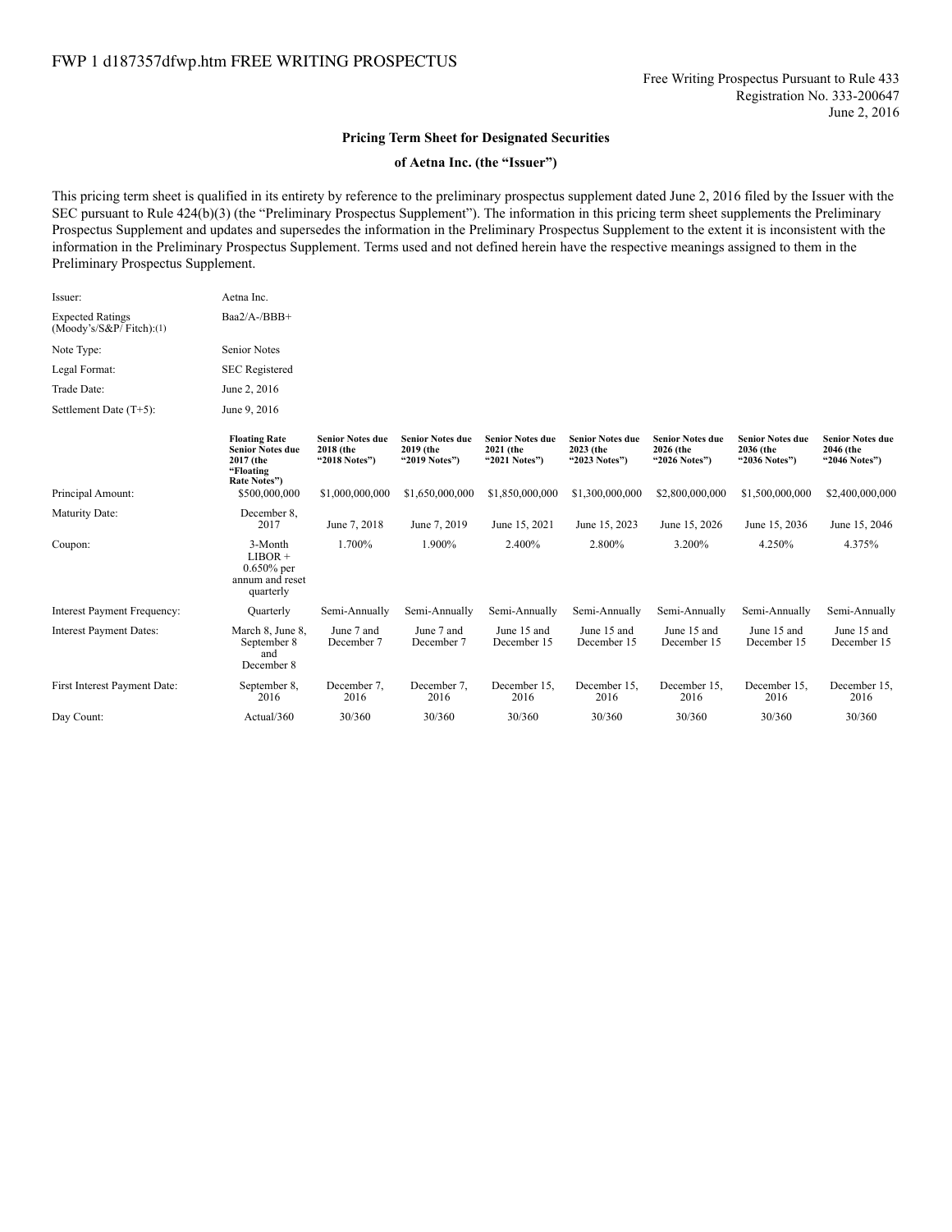## **Pricing Term Sheet for Designated Securities**

## **of Aetna Inc. (the "Issuer")**

This pricing term sheet is qualified in its entirety by reference to the preliminary prospectus supplement dated June 2, 2016 filed by the Issuer with the SEC pursuant to Rule 424(b)(3) (the "Preliminary Prospectus Supplement"). The information in this pricing term sheet supplements the Preliminary Prospectus Supplement and updates and supersedes the information in the Preliminary Prospectus Supplement to the extent it is inconsistent with the information in the Preliminary Prospectus Supplement. Terms used and not defined herein have the respective meanings assigned to them in the Preliminary Prospectus Supplement.

| Issuer:                                               | Aetna Inc.                                                                                |                                                       |                                                       |                                                       |                                                       |                                                       |                                                       |                                                       |
|-------------------------------------------------------|-------------------------------------------------------------------------------------------|-------------------------------------------------------|-------------------------------------------------------|-------------------------------------------------------|-------------------------------------------------------|-------------------------------------------------------|-------------------------------------------------------|-------------------------------------------------------|
| <b>Expected Ratings</b><br>$(Moody's/S\&P/Fitch):(1)$ | Baa2/A-/BBB+                                                                              |                                                       |                                                       |                                                       |                                                       |                                                       |                                                       |                                                       |
| Note Type:                                            | <b>Senior Notes</b>                                                                       |                                                       |                                                       |                                                       |                                                       |                                                       |                                                       |                                                       |
| Legal Format:                                         | <b>SEC</b> Registered                                                                     |                                                       |                                                       |                                                       |                                                       |                                                       |                                                       |                                                       |
| Trade Date:                                           | June 2, 2016                                                                              |                                                       |                                                       |                                                       |                                                       |                                                       |                                                       |                                                       |
| Settlement Date (T+5):                                | June 9, 2016                                                                              |                                                       |                                                       |                                                       |                                                       |                                                       |                                                       |                                                       |
|                                                       | <b>Floating Rate</b><br><b>Senior Notes due</b><br>2017 (the<br>"Floating<br>Rate Notes") | <b>Senior Notes due</b><br>2018 (the<br>"2018 Notes") | <b>Senior Notes due</b><br>2019 (the<br>"2019 Notes") | <b>Senior Notes due</b><br>2021 (the<br>"2021 Notes") | <b>Senior Notes due</b><br>2023 (the<br>"2023 Notes") | <b>Senior Notes due</b><br>2026 (the<br>"2026 Notes") | <b>Senior Notes due</b><br>2036 (the<br>"2036 Notes") | <b>Senior Notes due</b><br>2046 (the<br>"2046 Notes") |
| Principal Amount:                                     | \$500,000,000                                                                             | \$1,000,000,000                                       | \$1,650,000,000                                       | \$1,850,000,000                                       | \$1,300,000,000                                       | \$2,800,000,000                                       | \$1,500,000,000                                       | \$2,400,000,000                                       |
| Maturity Date:                                        | December 8.<br>2017                                                                       | June 7, 2018                                          | June 7, 2019                                          | June 15, 2021                                         | June 15, 2023                                         | June 15, 2026                                         | June 15, 2036                                         | June 15, 2046                                         |
| Coupon:                                               | 3-Month<br>$LIBOR +$<br>$0.650\%$ per<br>annum and reset<br>quarterly                     | 1.700%                                                | 1.900%                                                | 2.400%                                                | 2.800%                                                | 3.200%                                                | 4.250%                                                | 4.375%                                                |
| Interest Payment Frequency:                           | Quarterly                                                                                 | Semi-Annually                                         | Semi-Annually                                         | Semi-Annually                                         | Semi-Annually                                         | Semi-Annually                                         | Semi-Annually                                         | Semi-Annually                                         |
| Interest Payment Dates:                               | March 8, June 8,<br>September 8<br>and<br>December 8                                      | June 7 and<br>December 7                              | June 7 and<br>December 7                              | June 15 and<br>December 15                            | June 15 and<br>December 15                            | June 15 and<br>December 15                            | June 15 and<br>December 15                            | June 15 and<br>December 15                            |
| First Interest Payment Date:                          | September 8,<br>2016                                                                      | December 7.<br>2016                                   | December 7,<br>2016                                   | December 15,<br>2016                                  | December 15,<br>2016                                  | December 15,<br>2016                                  | December 15,<br>2016                                  | December 15.<br>2016                                  |

Day Count: Actual/360 30/360 30/360 30/360 30/360 30/360 30/360 30/360

2016

2016

2016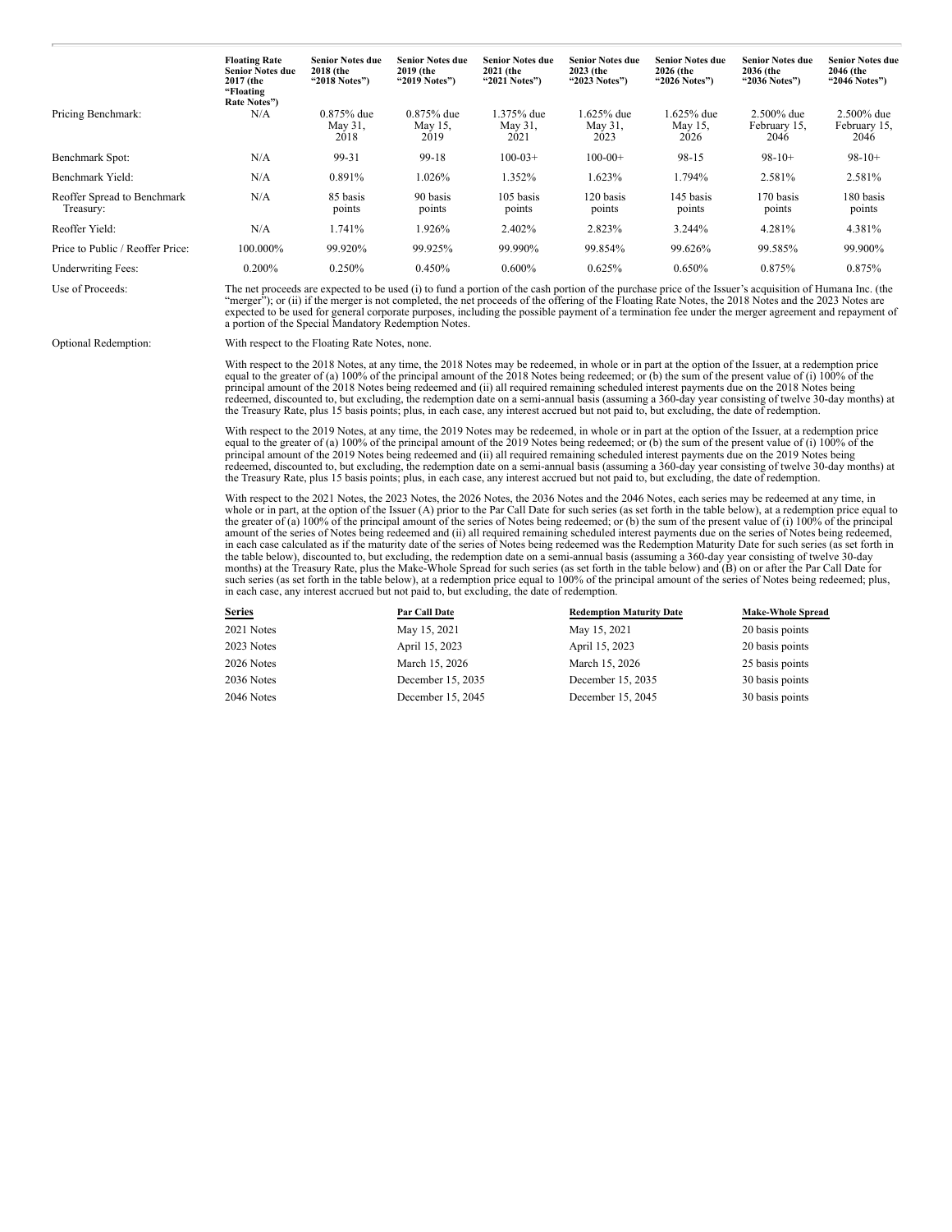|                                          | <b>Floating Rate</b><br><b>Senior Notes due</b><br>2017 (the<br>"Floating<br>Rate Notes") | <b>Senior Notes due</b><br>2018 (the<br>"2018 Notes") | <b>Senior Notes due</b><br>2019 (the<br>"2019 Notes") | <b>Senior Notes due</b><br>2021 (the<br>"2021 Notes") | <b>Senior Notes due</b><br>2023 (the<br>"2023 Notes") | <b>Senior Notes due</b><br>2026 (the<br>"2026 Notes") | <b>Senior Notes due</b><br>2036 (the<br>"2036 Notes") | <b>Senior Notes due</b><br>2046 (the<br>"2046 Notes") |
|------------------------------------------|-------------------------------------------------------------------------------------------|-------------------------------------------------------|-------------------------------------------------------|-------------------------------------------------------|-------------------------------------------------------|-------------------------------------------------------|-------------------------------------------------------|-------------------------------------------------------|
| Pricing Benchmark:                       | N/A                                                                                       | $0.875%$ due<br>May 31,<br>2018                       | $0.875%$ due<br>May 15,<br>2019                       | 1.375% due<br>May $31$ ,<br>2021                      | 1.625% due<br>May 31,<br>2023                         | 1.625% due<br>May 15,<br>2026                         | $2.500\%$ due<br>February 15.<br>2046                 | 2.500% due<br>February 15,<br>2046                    |
| Benchmark Spot:                          | N/A                                                                                       | 99-31                                                 | 99-18                                                 | $100-03+$                                             | $100-00+$                                             | 98-15                                                 | $98-10+$                                              | $98-10+$                                              |
| Benchmark Yield:                         | N/A                                                                                       | 0.891%                                                | 1.026%                                                | 1.352%                                                | 1.623%                                                | 1.794%                                                | 2.581%                                                | 2.581%                                                |
| Reoffer Spread to Benchmark<br>Treasury: | N/A                                                                                       | 85 basis<br>points                                    | 90 basis<br>points                                    | 105 basis<br>points                                   | 120 basis<br>points                                   | 145 basis<br>points                                   | 170 basis<br>points                                   | 180 basis<br>points                                   |
| Reoffer Yield:                           | N/A                                                                                       | 1.741%                                                | 1.926%                                                | 2.402%                                                | 2.823%                                                | 3.244%                                                | 4.281%                                                | 4.381%                                                |
| Price to Public / Reoffer Price:         | 100.000%                                                                                  | 99.920%                                               | 99.925%                                               | 99.990%                                               | 99.854%                                               | 99.626%                                               | 99.585%                                               | 99.900%                                               |
| <b>Underwriting Fees:</b>                | 0.200%                                                                                    | 0.250%                                                | 0.450%                                                | $0.600\%$                                             | 0.625%                                                | 0.650%                                                | 0.875%                                                | 0.875%                                                |

Use of Proceeds:<br>The net proceeds are expected to be used (i) to fund a portion of the cash portion of the purchase price of the Issuer's acquisition of Humana Inc. (the<br>"merger"); or (ii) if the merger is not completed, t expected to be used for general corporate purposes, including the possible payment of a termination fee under the merger agreement and repayment of a portion of the Special Mandatory Redemption Notes.

Optional Redemption: With respect to the Floating Rate Notes, none.

With respect to the 2018 Notes, at any time, the 2018 Notes may be redeemed, in whole or in part at the option of the Issuer, at a redemption price equal to the greater of (a) 100% of the principal amount of the 2018 Notes principal amount of the 2018 Notes being redeemed and (ii) all required remaining scheduled interest payments due on the 2018 Notes being redeemed, discounted to, but excluding, the redemption date on a semi-annual basis (assuming a 360-day year consisting of twelve 30-day months) at the Treasury Rate, plus 15 basis points; plus, in each case, any interest accrued but not paid to, but excluding, the date of redemption.

With respect to the 2019 Notes, at any time, the 2019 Notes may be redeemed, in whole or in part at the option of the Issuer, at a redemption price equal to the greater of (a) 100% of the principal amount of the 2019 Notes principal amount of the 2019 Notes being redeemed and (ii) all required remaining scheduled interest payments due on the 2019 Notes being redeemed, discounted to, but excluding, the redemption date on a semi-annual basis (assuming a 360-day year consisting of twelve 30-day months) at the Treasury Rate, plus 15 basis points; plus, in each case, any interest accrued but not paid to, but excluding, the date of redemption.

With respect to the 2021 Notes, the 2023 Notes, the 2026 Notes, the 2036 Notes and the 2046 Notes, each series may be redeemed at any time, in<br>whole or in part, at the option of the Issuer (A) prior to the Par Call Date fo amount of the series of Notes being redeemed and (ii) all required remaining scheduled interest payments due on the series of Notes being redeemed, in each case calculated as if the maturity date of the series of Notes being redeemed was the Redemption Maturity Date for such series (as set forth in the table below), discounted to, but excluding, the redemption date on a semi-annual basis (assuming a 360-day year consisting of twelve 30-day<br>months) at the Treasury Rate, plus the Make-Whole Spread for such series (as s in each case, any interest accrued but not paid to, but excluding, the date of redemption.

| Series     | Par Call Date     | <b>Redemption Maturity Date</b> | <b>Make-Whole Spread</b> |
|------------|-------------------|---------------------------------|--------------------------|
| 2021 Notes | May 15, 2021      | May 15, 2021                    | 20 basis points          |
| 2023 Notes | April 15, 2023    | April 15, 2023                  | 20 basis points          |
| 2026 Notes | March 15, 2026    | March 15, 2026                  | 25 basis points          |
| 2036 Notes | December 15, 2035 | December 15, 2035               | 30 basis points          |
| 2046 Notes | December 15, 2045 | December 15, 2045               | 30 basis points          |
|            |                   |                                 |                          |